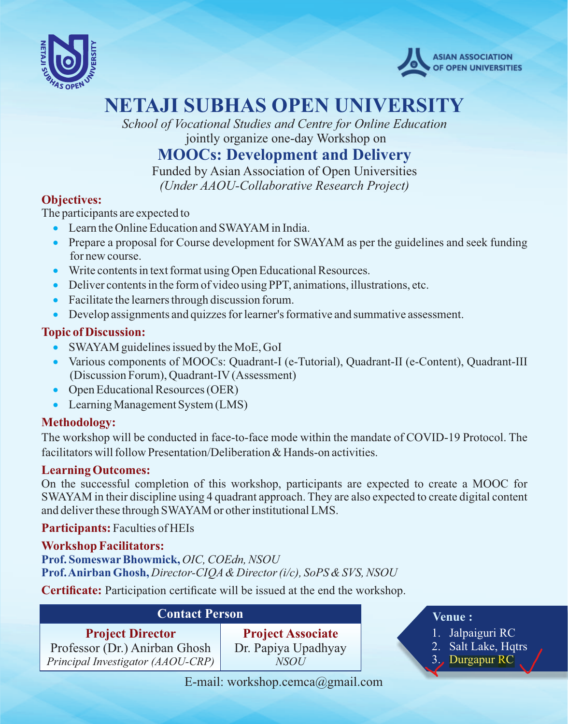



# **NETAJI SUBHAS OPEN UNIVERSITY**

*School of Vocational Studies and Centre for Online Education* jointly organize one-day Workshop on

### **MOOCs: Development and Delivery**

Funded by Asian Association of Open Universities *(Under AAOU-Collaborative Research Project)*

#### **Objectives:**

The participants are expected to

- · Learn the Online Education and SWAYAM in India.
- Prepare a proposal for Course development for SWAYAM as per the guidelines and seek funding for new course.
- · Write contents in text format using Open Educational Resources.
- · Deliver contents in the form of video using PPT, animations, illustrations, etc.
- · Facilitate the learners through discussion forum.
- · Develop assignments and quizzes for learner's formative and summative assessment.

#### **Topic of Discussion:**

- SWAYAM guidelines issued by the MoE, GoI
- · Various components of MOOCs: Quadrant-I (e-Tutorial), Quadrant-II (e-Content), Quadrant-III (Discussion Forum), Quadrant-IV(Assessment)
- Open Educational Resources (OER)
- Learning Management System (LMS)

### **Methodology:**

The workshop will be conducted in face-to-face mode within the mandate of COVID-19 Protocol. The facilitators will follow Presentation/Deliberation & Hands-on activities.

#### **Learning Outcomes:**

On the successful completion of this workshop, participants are expected to create a MOOC for SWAYAM in their discipline using 4 quadrant approach. They are also expected to create digital content and deliver these through SWAYAM or other institutional LMS.

#### **Participants:** Faculties of HEIs

#### **Workshop Facilitators:**

**Prof. SomeswarBhowmick,** *OIC, COEdn, NSOU* **Prof. Anirban Ghosh,** *Director-CIQA& Director (i/c), SoPS & SVS, NSOU*

**Certificate:** Participation certificate will be issued at the end the workshop.

| <b>Contact Person</b>                                    |                                                 |
|----------------------------------------------------------|-------------------------------------------------|
| <b>Project Director</b><br>Professor (Dr.) Anirban Ghosh | <b>Project Associate</b><br>Dr. Papiya Upadhyay |
| Principal Investigator (AAOU-CRP)                        | NSOU                                            |

#### **Venue :**

- 1. Jalpaiguri RC
- 2. Salt Lake, Hqtrs
	- 3. Durgapur RC

E-mail: workshop.cemca@gmail.com